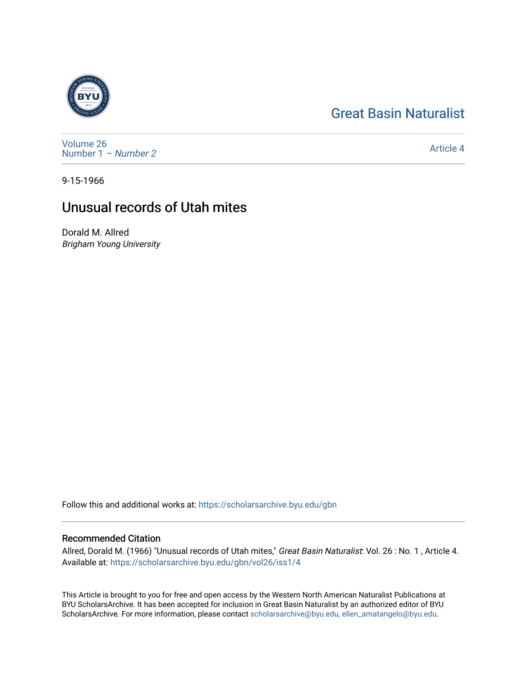## [Great Basin Naturalist](https://scholarsarchive.byu.edu/gbn)



[Volume 26](https://scholarsarchive.byu.edu/gbn/vol26) [Number 1](https://scholarsarchive.byu.edu/gbn/vol26/iss1) – Number 2

[Article 4](https://scholarsarchive.byu.edu/gbn/vol26/iss1/4) 

9-15-1966

## Unusual records of Utah mites

Dorald M. Allred Brigham Young University

Follow this and additional works at: [https://scholarsarchive.byu.edu/gbn](https://scholarsarchive.byu.edu/gbn?utm_source=scholarsarchive.byu.edu%2Fgbn%2Fvol26%2Fiss1%2F4&utm_medium=PDF&utm_campaign=PDFCoverPages) 

## Recommended Citation

Allred, Dorald M. (1966) "Unusual records of Utah mites," Great Basin Naturalist: Vol. 26 : No. 1 , Article 4. Available at: [https://scholarsarchive.byu.edu/gbn/vol26/iss1/4](https://scholarsarchive.byu.edu/gbn/vol26/iss1/4?utm_source=scholarsarchive.byu.edu%2Fgbn%2Fvol26%2Fiss1%2F4&utm_medium=PDF&utm_campaign=PDFCoverPages)

This Article is brought to you for free and open access by the Western North American Naturalist Publications at BYU ScholarsArchive. It has been accepted for inclusion in Great Basin Naturalist by an authorized editor of BYU ScholarsArchive. For more information, please contact [scholarsarchive@byu.edu, ellen\\_amatangelo@byu.edu.](mailto:scholarsarchive@byu.edu,%20ellen_amatangelo@byu.edu)